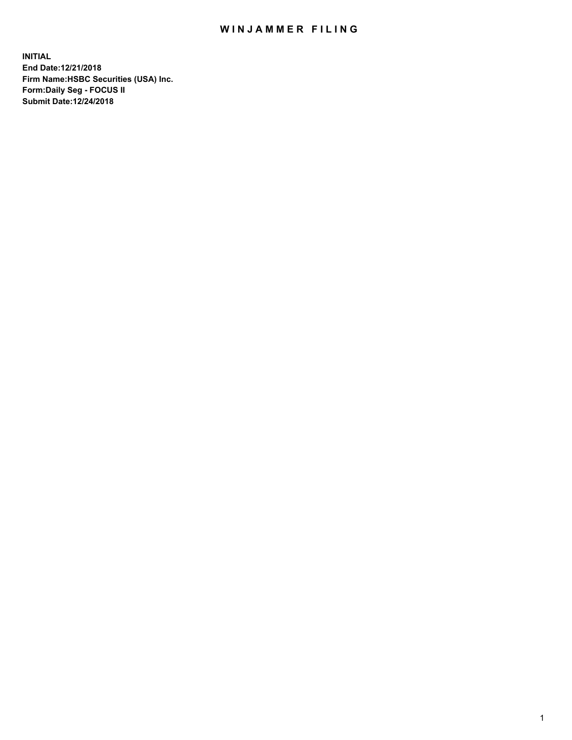## WIN JAMMER FILING

**INITIAL End Date:12/21/2018 Firm Name:HSBC Securities (USA) Inc. Form:Daily Seg - FOCUS II Submit Date:12/24/2018**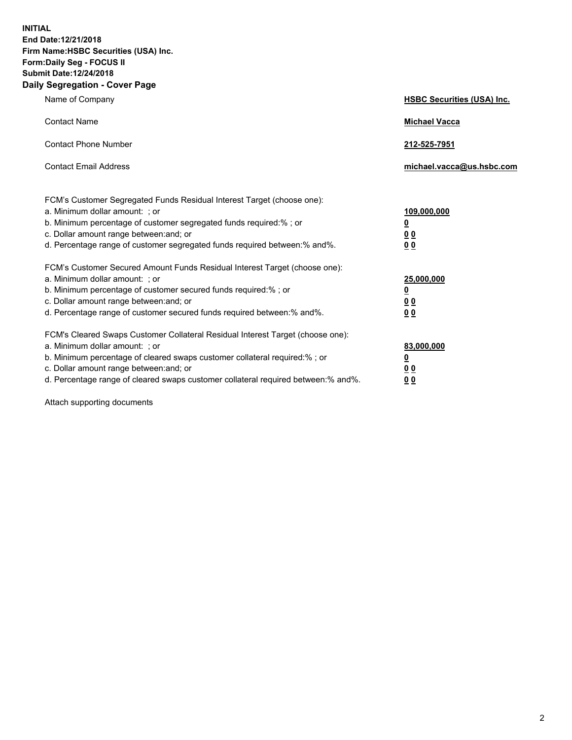**INITIAL End Date:12/21/2018 Firm Name:HSBC Securities (USA) Inc. Form:Daily Seg - FOCUS II Submit Date:12/24/2018 Daily Segregation - Cover Page**

| Name of Company                                                                                                                                                                                                                                                                                                               | <b>HSBC Securities (USA) Inc.</b>                           |
|-------------------------------------------------------------------------------------------------------------------------------------------------------------------------------------------------------------------------------------------------------------------------------------------------------------------------------|-------------------------------------------------------------|
| <b>Contact Name</b>                                                                                                                                                                                                                                                                                                           | <b>Michael Vacca</b>                                        |
| <b>Contact Phone Number</b>                                                                                                                                                                                                                                                                                                   | 212-525-7951                                                |
| <b>Contact Email Address</b>                                                                                                                                                                                                                                                                                                  | michael.vacca@us.hsbc.com                                   |
| FCM's Customer Segregated Funds Residual Interest Target (choose one):<br>a. Minimum dollar amount: ; or<br>b. Minimum percentage of customer segregated funds required:%; or<br>c. Dollar amount range between: and; or<br>d. Percentage range of customer segregated funds required between:% and%.                         | 109,000,000<br><u>0</u><br>0 <sub>0</sub><br>0 <sub>0</sub> |
| FCM's Customer Secured Amount Funds Residual Interest Target (choose one):<br>a. Minimum dollar amount: ; or<br>b. Minimum percentage of customer secured funds required:%; or<br>c. Dollar amount range between: and; or<br>d. Percentage range of customer secured funds required between:% and%.                           | 25,000,000<br><u>0</u><br>0 <sub>0</sub><br>0 <sub>0</sub>  |
| FCM's Cleared Swaps Customer Collateral Residual Interest Target (choose one):<br>a. Minimum dollar amount: ; or<br>b. Minimum percentage of cleared swaps customer collateral required:%; or<br>c. Dollar amount range between: and; or<br>d. Percentage range of cleared swaps customer collateral required between:% and%. | 83,000,000<br><u>0</u><br><u>00</u><br>00                   |

Attach supporting documents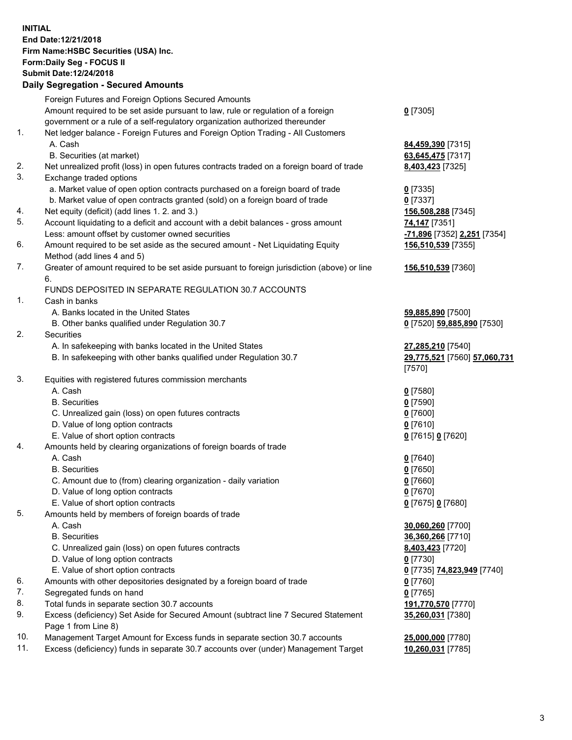**INITIAL End Date:12/21/2018 Firm Name:HSBC Securities (USA) Inc. Form:Daily Seg - FOCUS II Submit Date:12/24/2018 Daily Segregation - Secured Amounts** Foreign Futures and Foreign Options Secured Amounts Amount required to be set aside pursuant to law, rule or regulation of a foreign government or a rule of a self-regulatory organization authorized thereunder **0** [7305] 1. Net ledger balance - Foreign Futures and Foreign Option Trading - All Customers A. Cash **84,459,390** [7315] B. Securities (at market) **63,645,475** [7317] 2. Net unrealized profit (loss) in open futures contracts traded on a foreign board of trade **8,403,423** [7325] 3. Exchange traded options a. Market value of open option contracts purchased on a foreign board of trade **0** [7335] b. Market value of open contracts granted (sold) on a foreign board of trade **0** [7337] 4. Net equity (deficit) (add lines 1. 2. and 3.) **156,508,288** [7345] 5. Account liquidating to a deficit and account with a debit balances - gross amount **74,147** [7351] Less: amount offset by customer owned securities **-71,896** [7352] **2,251** [7354] 6. Amount required to be set aside as the secured amount - Net Liquidating Equity Method (add lines 4 and 5) **156,510,539** [7355] 7. Greater of amount required to be set aside pursuant to foreign jurisdiction (above) or line 6. **156,510,539** [7360] FUNDS DEPOSITED IN SEPARATE REGULATION 30.7 ACCOUNTS 1. Cash in banks A. Banks located in the United States **59,885,890** [7500] B. Other banks qualified under Regulation 30.7 **0** [7520] **59,885,890** [7530] 2. Securities A. In safekeeping with banks located in the United States **27,285,210** [7540] B. In safekeeping with other banks qualified under Regulation 30.7 **29,775,521** [7560] **57,060,731** [7570] 3. Equities with registered futures commission merchants A. Cash **0** [7580] B. Securities **0** [7590] C. Unrealized gain (loss) on open futures contracts **0** [7600] D. Value of long option contracts **0** [7610] E. Value of short option contracts **0** [7615] **0** [7620] 4. Amounts held by clearing organizations of foreign boards of trade A. Cash **0** [7640] B. Securities **0** [7650] C. Amount due to (from) clearing organization - daily variation **0** [7660] D. Value of long option contracts **0** [7670] E. Value of short option contracts **0** [7675] **0** [7680] 5. Amounts held by members of foreign boards of trade A. Cash **30,060,260** [7700] B. Securities **36,360,266** [7710] C. Unrealized gain (loss) on open futures contracts **8,403,423** [7720] D. Value of long option contracts **0** [7730] E. Value of short option contracts **0** [7735] **74,823,949** [7740] 6. Amounts with other depositories designated by a foreign board of trade **0** [7760] 7. Segregated funds on hand **0** [7765]

- 8. Total funds in separate section 30.7 accounts **191,770,570** [7770]
- 9. Excess (deficiency) Set Aside for Secured Amount (subtract line 7 Secured Statement Page 1 from Line 8)
- 10. Management Target Amount for Excess funds in separate section 30.7 accounts **25,000,000** [7780]
- 11. Excess (deficiency) funds in separate 30.7 accounts over (under) Management Target **10,260,031** [7785]

3

**35,260,031** [7380]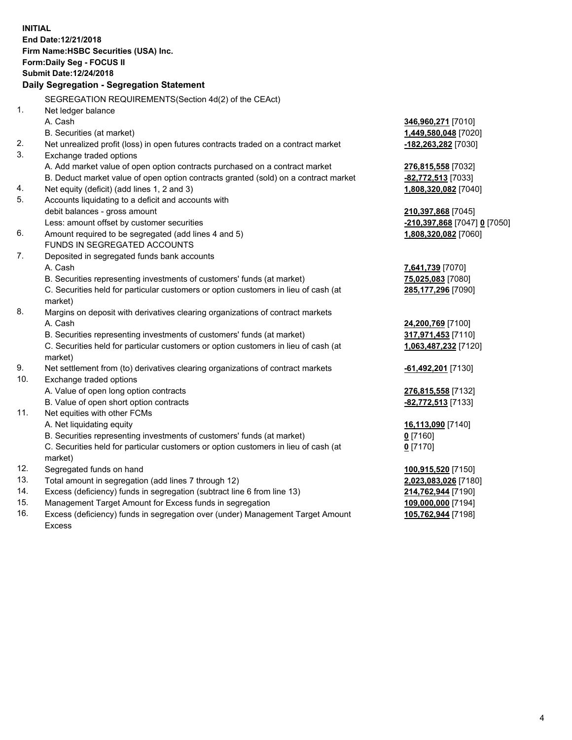|     | <b>INITIAL</b><br>End Date:12/21/2018<br>Firm Name: HSBC Securities (USA) Inc.<br><b>Form:Daily Seg - FOCUS II</b><br><b>Submit Date:12/24/2018</b><br>Daily Segregation - Segregation Statement |                                            |
|-----|--------------------------------------------------------------------------------------------------------------------------------------------------------------------------------------------------|--------------------------------------------|
|     |                                                                                                                                                                                                  |                                            |
| 1.  | SEGREGATION REQUIREMENTS (Section 4d(2) of the CEAct)                                                                                                                                            |                                            |
|     | Net ledger balance<br>A. Cash                                                                                                                                                                    | 346,960,271 [7010]                         |
|     | B. Securities (at market)                                                                                                                                                                        | 1,449,580,048 [7020]                       |
| 2.  | Net unrealized profit (loss) in open futures contracts traded on a contract market                                                                                                               | -182,263,282 [7030]                        |
| 3.  | Exchange traded options                                                                                                                                                                          |                                            |
|     | A. Add market value of open option contracts purchased on a contract market                                                                                                                      | 276,815,558 [7032]                         |
|     | B. Deduct market value of open option contracts granted (sold) on a contract market                                                                                                              | <u>-<b>82,772,513</b> [</u> 7033]          |
| 4.  | Net equity (deficit) (add lines 1, 2 and 3)                                                                                                                                                      | <u>1,808,320,082</u> [7040]                |
| 5.  | Accounts liquidating to a deficit and accounts with                                                                                                                                              |                                            |
|     | debit balances - gross amount                                                                                                                                                                    | 210,397,868 [7045]                         |
|     | Less: amount offset by customer securities                                                                                                                                                       | <u>-210,397,868</u> [7047] <u>0</u> [7050] |
| 6.  | Amount required to be segregated (add lines 4 and 5)                                                                                                                                             | 1,808,320,082 [7060]                       |
|     | FUNDS IN SEGREGATED ACCOUNTS                                                                                                                                                                     |                                            |
| 7.  | Deposited in segregated funds bank accounts                                                                                                                                                      |                                            |
|     | A. Cash                                                                                                                                                                                          | 7,641,739 [7070]                           |
|     | B. Securities representing investments of customers' funds (at market)                                                                                                                           | 75,025,083 [7080]                          |
|     | C. Securities held for particular customers or option customers in lieu of cash (at<br>market)                                                                                                   | 285,177,296 [7090]                         |
| 8.  | Margins on deposit with derivatives clearing organizations of contract markets                                                                                                                   |                                            |
|     | A. Cash                                                                                                                                                                                          | 24,200,769 [7100]                          |
|     | B. Securities representing investments of customers' funds (at market)                                                                                                                           | <u>317,971,453</u> [7110]                  |
|     | C. Securities held for particular customers or option customers in lieu of cash (at<br>market)                                                                                                   | 1,063,487,232 [7120]                       |
| 9.  | Net settlement from (to) derivatives clearing organizations of contract markets                                                                                                                  | <u>-61,492,201</u> [7130]                  |
| 10. | Exchange traded options                                                                                                                                                                          |                                            |
|     | A. Value of open long option contracts                                                                                                                                                           | 276,815,558 [7132]                         |
|     | B. Value of open short option contracts                                                                                                                                                          | -82,772,513 [7133]                         |
| 11. | Net equities with other FCMs                                                                                                                                                                     |                                            |
|     | A. Net liquidating equity                                                                                                                                                                        | 16,113,090 [7140]                          |
|     | B. Securities representing investments of customers' funds (at market)                                                                                                                           | $0$ [7160]                                 |
|     | C. Securities held for particular customers or option customers in lieu of cash (at                                                                                                              | 0 <sup>[7170]</sup>                        |
|     | market)                                                                                                                                                                                          |                                            |
| 12. | Segregated funds on hand                                                                                                                                                                         | 100,915,520 [7150]                         |
| 13. | Total amount in segregation (add lines 7 through 12)                                                                                                                                             | 2,023,083,026 [7180]                       |
| 14. | Excess (deficiency) funds in segregation (subtract line 6 from line 13)                                                                                                                          | <u>214,762,944</u> [7190]                  |
| 15. | Management Target Amount for Excess funds in segregation                                                                                                                                         | 109,000,000 [7194]                         |

16. Excess (deficiency) funds in segregation over (under) Management Target Amount Excess

**105,762,944** [7198]